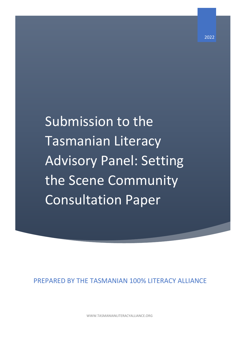Submission to the Tasmanian Literacy Advisory Panel: Setting the Scene Community Consultation Paper

PREPARED BY THE TASMANIAN 100% LITERACY ALLIANCE

WWW.TASMANIANLITERACYALLIANCE.ORG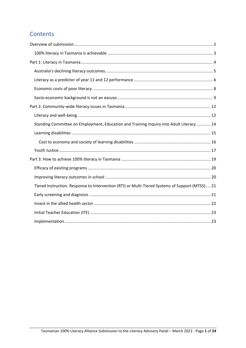# Contents

| Standing Committee on Employment, Education and Training Inquiry into Adult Literacy  14        |
|-------------------------------------------------------------------------------------------------|
|                                                                                                 |
|                                                                                                 |
|                                                                                                 |
|                                                                                                 |
|                                                                                                 |
|                                                                                                 |
| Tiered Instruction: Response to Intervention (RTI) or Multi-Tiered Systems of Support (MTSS) 21 |
|                                                                                                 |
|                                                                                                 |
|                                                                                                 |
|                                                                                                 |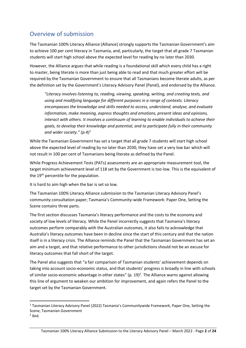# <span id="page-2-0"></span>Overview of submission

The Tasmanian 100% Literacy Alliance (Alliance) strongly supports the Tasmanian Government's aim to achieve 100 per cent literacy in Tasmania, and, particularly, the target that all grade 7 Tasmanian students will start high school above the expected level for reading by no later than 2030.

However, the Alliance argues that while reading is a foundational skill which every child has a right to master, being literate is more than just being able to read and that much greater effort will be required by the Tasmanian Government to ensure that all Tasmanians become literate adults, as per the definition set by the Government's Literacy Advisory Panel (Panel), and endorsed by the Alliance.

*"Literacy involves listening to, reading, viewing, speaking, writing, and creating texts, and using and modifying language for different purposes in a range of contexts. Literacy encompasses the knowledge and skills needed to access, understand, analyse, and evaluate information, make meaning, express thoughts and emotions, present ideas and opinions, interact with others. It involves a continuum of learning to enable individuals to achieve their goals, to develop their knowledge and potential, and to participate fully in their community and wider society." (p.4)<sup>1</sup>*

While the Tasmanian Government has set a target that all grade 7 students will start high school above the expected level of reading by no later than 2030, they have set a very low bar which will not result in 100 per cent of Tasmanians being literate as defined by the Panel.

While Progress Achievement Tests (PATs) assessments are an appropriate measurement tool, the target minimum achievement level of 118 set by the Government is too low. This is the equivalent of the 19<sup>th</sup> percentile for the population.

It is hard to aim high when the bar is set so low.

The Tasmanian 100% Literacy Alliance submission to the Tasmanian Literacy Advisory Panel's community consultation paper; Tasmania's Community-wide Framework: Paper One, Setting the Scene contains three parts.

The first section discusses Tasmania's literacy performance and the costs to the economy and society of low levels of literacy. While the Panel incorrectly suggests that Tasmania's literacy outcomes perform comparably with the Australian outcomes, it also fails to acknowledge that Australia's literacy outcomes have been in decline since the start of this century and that the nation itself is in a literacy crisis. The Alliance reminds the Panel that the Tasmanian Government has set an aim and a target, and that relative performance to other jurisdictions should not be an excuse for literacy outcomes that fall short of the target.

The Panel also suggests that "a fair comparison of Tasmanian students' achievement depends on taking into account socio-economic status, and that students' progress is broadly in line with schools of similar socio-economic advantage in other states" (p. 19)<sup>2</sup>. The Alliance warns against allowing this line of argument to weaken our ambition for improvement, and again refers the Panel to the target set by the Tasmanian Government.

<sup>1</sup> Tasmanian Literacy Advisory Panel (2022) Tasmania's Communitywide Framework, Paper One, Setting the Scene, Tasmanian Government

 $<sup>2</sup>$  Ibid.</sup>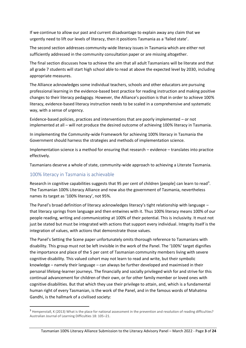If we continue to allow our past and current disadvantage to explain away any claim that we urgently need to lift our levels of literacy, then it positions Tasmania as a 'failed state'.

The second section addresses community-wide literacy issues in Tasmania which are either not sufficiently addressed in the community consultation paper or are missing altogether.

The final section discusses how to achieve the aim that all adult Tasmanians will be literate and that all grade 7 students will start high school able to read at above the expected level by 2030, including appropriate measures.

The Alliance acknowledges some individual teachers, schools and other educators are pursuing professional learning in the evidence-based best practice for reading instruction and making positive changes to their literacy pedagogy. However, the Alliance's position is that in order to achieve 100% literacy, evidence-based literacy instruction needs to be scaled in a comprehensive and systematic way, with a sense of urgency.

Evidence-based policies, practices and interventions that are poorly implemented – or not implemented at all – will not produce the desired outcome of achieving 100% literacy in Tasmania.

In implementing the Community-wide Framework for achieving 100% literacy in Tasmania the Government should harness the strategies and methods of implementation science.

Implementation science is a method for ensuring that research – evidence – translates into practice effectively.

Tasmanians deserve a whole of state, community-wide approach to achieving a Literate Tasmania.

#### <span id="page-3-0"></span>100% literacy in Tasmania is achievable

Research in cognitive capabilities suggests that 95 per cent of children [people] can learn to read<sup>3</sup>. The Tasmanian 100% Literacy Alliance and now also the government of Tasmania, nevertheless names its target as '100% literacy', not 95%.

The Panel's broad definition of literacy acknowledges literacy's tight relationship with language – that literacy springs from language and then entwines with it. Thus 100% literacy means 100% of our people reading, writing and *communicating* at 100% of their potential. This is inclusivity. It must not just be stated but must be integrated with actions that support every individual. Integrity itself is the integration of values, with actions that demonstrate those values.

The Panel's Setting the Scene paper unfortunately omits thorough reference to Tasmanians with disability. This group must not be left invisible in the work of the Panel. The '100%' target dignifies the importance and place of the 5 per cent of Tasmanian community members living with severe cognitive disability. This valued cohort may not learn to read and write, but their symbolic knowledge – namely their language – can always be further developed and maximised in their personal lifelong-learner journeys. The financially and socially privileged wish for and strive for this continual advancement for children of their own, or for other family member or loved ones with cognitive disabilities. But that which they use their privilege to attain, and, which is a fundamental human right of every Tasmanian, is the work of the Panel, and in the famous words of Mahatma Gandhi, is the hallmark of a civilised society:

<sup>&</sup>lt;sup>3</sup> Hempenstall, K (2013) What is the place for national assessment in the prevention and resolution of reading difficulties? Australian Journal of Learning Difficulties 18: 105–21.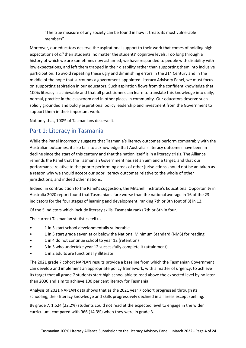"The true measure of any society can be found in how it treats its most vulnerable members"

Moreover, our educators deserve the aspirational support to their work that comes of holding high expectations of *all* their students, no matter the students' cognitive levels. Too long through a history of which we are sometimes now ashamed, we have responded to people with disability with low expectations, and left them trapped in their disability rather than supporting them into inclusive participation. To avoid repeating these ugly and diminishing errors in the  $21<sup>st</sup>$  Century and in the middle of the hope that surrounds a government-appointed Literacy Advisory Panel, we must focus on supporting aspiration in our educators. Such aspiration flows from the confident knowledge that 100% literacy is achievable and that all practitioners can learn to translate this knowledge into daily, normal, practice in the classroom and in other places in community. Our educators deserve such solidly grounded and boldly aspirational policy leadership and investment from the Government to support them in their important work.

Not only that, 100% of Tasmanians deserve it.

## <span id="page-4-0"></span>Part 1: Literacy in Tasmania

While the Panel incorrectly suggests that Tasmania's literacy outcomes perform comparably with the Australian outcomes, it also fails to acknowledge that Australia's literacy outcomes have been in decline since the start of this century and that the nation itself is in a literacy crisis. The Alliance reminds the Panel that the Tasmanian Government has set an aim and a target, and that our performance relative to the poorer performing areas of other jurisdictions should not be an taken as a reason why we should accept our poor literacy outcomes relative to the whole of other jurisdictions, and indeed other nations.

Indeed, in contradiction to the Panel's suggestion, the Mitchell Institute's Educational Opportunity in Australia 2020 report found that Tasmanians fare worse than the national average in 16 of the 23 indicators for the four stages of learning and development, ranking 7th or 8th (out of 8) in 12.

Of the 5 indictors which include literacy skills, Tasmania ranks 7th or 8th in four.

The current Tasmanian statistics tell us:

- 1 in 5 start school developmentally vulnerable
- 1 in 5 start grade seven at or below the National Minimum Standard (NMS) for reading
- 1 in 4 do not continue school to year 12 (retention)
- 3 in 5 who undertake year 12 successfully complete it (attainment)
- 1 in 2 adults are functionally illiterate

The 2021 grade 7 cohort NAPLAN results provide a baseline from which the Tasmanian Government can develop and implement an appropriate policy framework, with a matter of urgency, to achieve its target that all grade 7 students start high school able to read above the expected level by no later than 2030 and aim to achieve 100 per cent literacy for Tasmania.

Analysis of 2021 NAPLAN data shows that as the 2021 year 7 cohort progressed through its schooling, their literacy knowledge and skills progressively declined in all areas except spelling.

By grade 7, 1,524 (22.2%) students could not read at the expected level to engage in the wider curriculum, compared with 966 (14.3%) when they were in grade 3.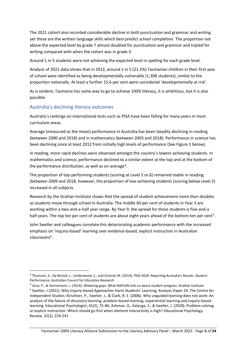The 2021 cohort also recorded considerable decline in both punctuation and grammar and writing yet these are the written language skills which best predict school completion. The proportion not above the expected level by grade 7 almost doubled for punctuation and grammar and tripled for writing compared with when the cohort was in grade 3.

Around 1 in 5 students were not achieving the expected level in spelling for each grade level.

Analysis of 2021 data shows that in 2012, around 1 in 5 (21.5%) Tasmanian children in their first year of school were identified as being developmentally vulnerable (1,308 students), similar to the proportion nationally. At least a further 15.6 per cent were considered 'developmentally at risk'.

As is evident, Tasmania has some way to go to achieve 100% literacy, it is ambitious, but it is also possible.

#### <span id="page-5-0"></span>Australia's declining literacy outcomes

Australia's rankings on international tests such as PISA have been falling for many years in most curriculum areas.

Average (measured as the mean) performance in Australia has been steadily declining in reading (between 2000 and 2018) and in mathematics (between 2003 and 2018). Performance in science has been declining since at least 2012 from initially high levels of performance (See Figure 1 below).

In reading, more rapid declines were observed amongst the country's lowest-achieving students. In mathematics and science, performance declined to a similar extent at the top and at the bottom of the performance distribution, as well as on average<sup>4</sup>.

The proportion of top-performing students (scoring at Level 5 or 6) remained stable in reading (between 2009 and 2018, however, the proportion of low-achieving students (scoring below Level 2) increased in all subjects.

Research by the Grattan Institute shows that the spread of student achievement more than doubles as students move through school in Australia. The middle 60 per cent of students in Year 3 are working within a two-and-a-half year range. By Year 9, the spread for these students is five-and-a half years. The top ten per cent of students are about eight years ahead of the bottom ten per cent<sup>5</sup>.

John Sweller and colleagues correlate this deteriorating academic performance with the increased emphasis on 'inquiry-based' learning over evidence-based, explicit instruction in Australian classrooms<sup>6</sup>.

<sup>&</sup>lt;sup>4</sup> Thomson, S., De Bortoli, L., Underwood, C., and Schmid, M. (2019), PISA 2018: Reporting Australia's Results. Student Performance, Australian Council for Education Research

<sup>5</sup> Goss, P., & Sonnemann, J. (2016). Widening gaps: What NAPLAN tells us about student progress. Grattan Institute. 6 Sweller, J (2021), Why Inquiry-based Approaches Harm Students' Learning, Analysis Paper 24, The Centre for Independent Studies; Kirschner, P., Sweller, J., & Clark, R. E. (2006). Why unguided learning does not work: An analysis of the failure of discovery learning, problem-based learning, experiential learning and inquiry-based learning. Educational Psychologist, 41(2), 75-86; Ashman, G., Kalyuga, S., & Sweller, J. (2020). Problem-solving or explicit instruction: Which should go first when element interactivity is high? Educational Psychology Review, 32(1), 229-247.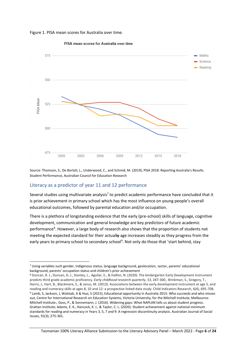



PISA mean scores for Australia over time

Source: Thomson, S., De Bortoli, L., Underwood, C., and Schmid, M. (2019), PISA 2018: Reporting Australia's Results. Student Performance, Australian Council for Education Research

#### <span id="page-6-0"></span>Literacy as a predictor of year 11 and 12 performance

Several studies using multivariate analysis<sup>7</sup> to predict academic performance have concluded that it is prior achievement in primary school which has the most influence on young people's overall educational outcomes, followed by parental education and/or occupation.

There is a plethora of longstanding evidence that the early (pre-school) skills of language, cognitive development, communication and general knowledge are key predictors of future academic performance<sup>8</sup>. However, a large body of research also shows that the proportion of students not meeting the expected standard for their actually age increases steadily as they progress from the early years to primary school to secondary school<sup>9</sup>. Not only do those that 'start behind, stay

<sup>7</sup> Using variables such gender, indigenous status, language background, geolocation, sector, parents' educational background, parents' occupation status and children's prior achievement

<sup>8</sup> Duncan, R. J., Duncan, G. J., Stanley, L., Aguilar, E., & Halfon, N. (2020). The kindergarten Early Development Instrument predicts third grade academic proficiency. *Early childhood research quarterly*, *53*, 287-300.; Brinkman, S., Gregory, T., Harris, J., Hart, B., Blackmore, S., & Janus, M. (2013). Associations between the early development instrument at age 5, and reading and numeracy skills at ages 8, 10 and 12: a prospective linked data study. Child Indicators Research, 6(4), 695-708. <sup>9</sup> Lamb, S, Jackson, J, Walstab, A & Huo, S (2015), Educational opportunity in Australia 2015: Who succeeds and who misses out, Centre for International Research on Education Systems, Victoria University, for the Mitchell Institute, Melbourne: Mitchell Institute.; Goss, P., & Sonnemann, J. (2016). Widening gaps: What NAPLAN tells us about student progress. Grattan Institute; Adams, E. K., Hancock, K. J., & Taylor, C. L. (2020). Student achievement against national minimum standards for reading and numeracy in Years 3, 5, 7 and 9: A regression discontinuity analysis. Australian Journal of Social Issues, 55(3), 275-301.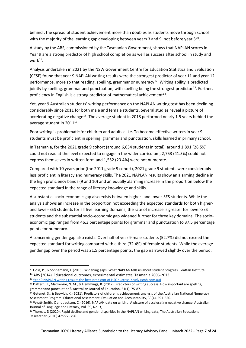behind', the spread of student achievement more than doubles as students move through school with the majority of the learning gap developing between years 3 and 9, not before year 3<sup>10</sup>.

A study by the ABS, commissioned by the Tasmanian Government, shows that NAPLAN scores in Year 9 are a strong predictor of high school completion as well as success after school in study and  $work<sup>11</sup>$ .

Analysis undertaken in 2021 by the NSW Government Centre for Education Statistics and Evaluation (CESE) found that year 9 NAPLAN writing results were the strongest predictor of year 11 and year 12 performance, more so that reading, spelling, grammar or numeracy<sup>12</sup>. Writing ability is predicted jointly by spelling, grammar and punctuation, with spelling being the strongest predictor<sup>13</sup>. Further, proficiency in English is a strong predictor of mathematical achievement<sup>14</sup>.

Yet, year 9 Australian students' writing performance on the NAPLAN writing test has been declining considerably since 2011 for both male and female students. Several studies reveal a picture of accelerating negative change<sup>15</sup>. The average student in 2018 performed nearly 1.5 years behind the average student in  $2011^{16}$ .

Poor writing is problematic for children and adults alike. To become effective writers in year 9, students must be proficient in spelling, grammar and punctuation, skills learned in primary school.

In Tasmania, for the 2021 grade 9 cohort (around 6,634 students in total), around 1,891 (28.5%) could not read at the level expected to engage in the wider curriculum, 2,753 (41.5%) could not express themselves in written form and 1,552 (23.4%) were not numerate.

Compared with 10 years prior (the 2011 grade 9 cohort), 2021 grade 9 students were considerably less proficient in literacy and numeracy skills. The 2021 NAPLAN results show an alarming decline in the high proficiency bands (9 and 10) and an equally alarming increase in the proportion below the expected standard in the range of literacy knowledge and skills.

A substantial socio-economic gap also exists between higher- and lower-SES students. While the analysis shows an increase in the proportion not exceeding the expected standards for both higherand lower-SES students for all five learning domains, the rate of increase is greater for lower-SES students and the substantial socio-economic gap widened further for three key domains. The socioeconomic gap ranged from 46.3 percentage points for grammar and punctuation to 37.5 percentage points for numeracy.

A concerning gender gap also exists. Over half of year 9 male students (52.7%) did not exceed the expected standard for writing compared with a third (32.4%) of female students. While the average gender gap over the period was 21.5 percentage points, the gap narrowed slightly over the period.

<sup>&</sup>lt;sup>10</sup> Goss, P., & Sonnemann, J. (2016). Widening gaps: What NAPLAN tells us about student progress. Grattan Institute.

<sup>11</sup> ABS (2014) 'Educational outcomes, experimental estimates, Tasmania 2006-2013

<sup>12</sup> [Year 9 NAPLAN writing results the best predictor of HSC success: study \(smh.com.au\)](https://www.smh.com.au/education/year-9-naplan-writing-results-the-best-predictor-of-hsc-success-study-20210528-p57w6w.html)

<sup>13</sup> Daffern, T., Mackenzie, N. M., & Hemmings, B. (2017). Predictors of writing success: How important are spelling, grammar and punctuation?. Australian Journal of Education, 61(1), 75-87.

<sup>&</sup>lt;sup>14</sup> Getenet, S., & Beswick, K. (2021). Predictors of children's achievement: analysis of the Australian National Numeracy Assessment Program. Educational Assessment, Evaluation and Accountability, 33(4), 591-620.

<sup>15</sup> Wyatt-Smith, C and Jackson, C, (2016), NAPLAN data on writing: A picture of accelerating negative change, Australian Journal of Language and Literacy, Vol. 39, No. 3,

<sup>&</sup>lt;sup>16</sup> Thomas, D (2020), Rapid decline and gender disparities in the NAPLAN writing data, The Australian Educational Researcher (2020) 47:777–796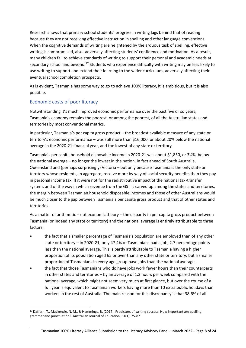Research shows that primary school students' progress in writing lags behind that of reading because they are not receiving effective instruction in spelling and other language conventions. When the cognitive demands of writing are heightened by the arduous task of spelling, effective writing is compromised, also -adversely affecting students' confidence and motivation. As a result, many children fail to achieve standards of writing to support their personal and academic needs at secondary school and beyond.<sup>17</sup> Students who experience difficulty with writing may be less likely to use writing to support and extend their learning to the wider curriculum, adversely affecting their eventual school completion prospects.

As is evident, Tasmania has some way to go to achieve 100% literacy, it is ambitious, but it is also possible.

#### <span id="page-8-0"></span>Economic costs of poor literacy

Notwithstanding it's much improved economic performance over the past five or so years, Tasmania's economy remains the poorest, or among the poorest, of all the Australian states and territories by most conventional metrics.

In particular, Tasmania's per capita gross product – the broadest available measure of any state or territory's economic performance – was still more than \$16,000, or about 20% below the national average in the 2020-21 financial year, and the lowest of any state or territory.

Tasmania's per capita household disposable income in 2020-21 was about \$1,850, or 3¼%, below the national average – no longer the lowest in the nation, in fact ahead of South Australia, Queensland and (perhaps surprisingly) Victoria – but only because Tasmania is the only state or territory whose residents, in aggregate, receive more by way of social security benefits than they pay in personal income tax. If it were not for the redistributive impact of the national tax-transfer system, and of the way in which revenue from the GST is carved up among the states and territories, the margin between Tasmanian household disposable incomes and those of other Australians would be much closer to the gap between Tasmania's per capita gross product and that of other states and territories.

As a matter of arithmetic – not economic theory – the disparity in per capita gross product between Tasmania (or indeed any state or territory) and the national average is entirely attributable to three factors:

- the fact that a smaller percentage of Tasmania's population are employed than of any other state or territory – in 2020-21, only 47.4% of Tasmanians had a job, 2.7 percentage points less than the national average. This is partly attributable to Tasmania having a higher proportion of its population aged 65 or over than any other state or territory: but a smaller proportion of Tasmanians in every age group have jobs than the national average.
- the fact that those Tasmanians who do have jobs work fewer hours than their counterparts in other states and territories – by an average of 1.3 hours per week compared with the national average, which might not seem very much at first glance, but over the course of a full year is equivalent to Tasmanian workers having more than 10 extra public holidays than workers in the rest of Australia. The main reason for this discrepancy is that 38.6% of all

<sup>17</sup> Daffern, T., Mackenzie, N. M., & Hemmings, B. (2017). Predictors of writing success: How important are spelling, grammar and punctuation?. Australian Journal of Education, 61(1), 75-87.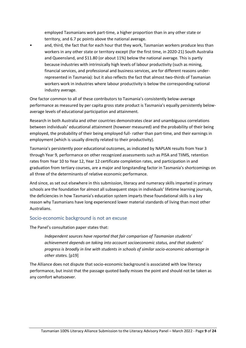employed Tasmanians work part-time, a higher proportion than in any other state or territory, and 6.7 pc points above the national average.

and, third, the fact that for each hour that they work, Tasmanian workers produce less than workers in any other state or territory except (for the first time, in 2020-21) South Australia and Queensland, and \$11.80 (or about 11%) below the national average. This is partly because industries with intrinsically high levels of labour productivity (such as mining, financial services, and professional and business services, are for different reasons underrepresented in Tasmania): but it also reflects the fact that almost two-thirds of Tasmanian workers work in industries where labour productivity is below the corresponding national industry average.

One factor common to all of these contributors to Tasmania's consistently below-average performance as measured by per capita gross state product is Tasmania's equally persistently belowaverage levels of educational participation and attainment.

Research in both Australia and other countries demonstrates clear and unambiguous correlations between individuals' educational attainment (however measured) and the probability of their being employed, the probability of their being employed full- rather than part-time, and their earnings in employment (which is usually directly related to their productivity).

Tasmania's persistently poor educational outcomes, as indicated by NAPLAN results from Year 3 through Year 9, performance on other recognized assessments such as PISA and TIIMS, retention rates from Year 10 to Year 12, Year 12 certificate completion rates, and participation in and graduation from tertiary courses, are a major and longstanding factor in Tasmania's shortcomings on all three of the determinants of relative economic performance.

And since, as set out elsewhere in this submission, literacy and numeracy skills imparted in primary schools are the foundation for almost all subsequent steps in individuals' lifetime learning journals, the deficiencies in how Tasmania's education system imparts these foundational skills is a key reason why Tasmanians have long experienced lower material standards of living than most other Australians.

#### <span id="page-9-0"></span>Socio-economic background is not an excuse

The Panel's consultation paper states that:

*Independent sources have reported that fair comparison of Tasmanian students' achievement depends on taking into account socioeconomic status, and that students' progress is broadly in line with students in schools of similar socio-economic advantage in other states.* [p19]

The Alliance does not dispute that socio-economic background is associated with low literacy performance, but insist that the passage quoted badly misses the point and should not be taken as any comfort whatsoever.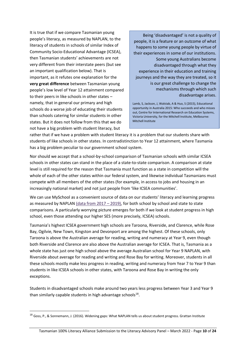It is true that if we compare Tasmanian young people's literacy, as measured by NAPLAN, to the literacy of students in schools of similar Index of Community Socio-Educational Advantage (ICSEA), then Tasmanian students' achievements are not very different from their interstate peers (but see an important qualification below). That is important, as it refutes one explanation for the **very great difference** between Tasmanian young people's low level of Year 12 attainment compared to their peers in like schools in other states – namely, that in general our primary and high schools do a worse job of educating their students than schools catering for similar students in other states. But it does not follow from this that we do not have a big problem with student literacy, but

Being 'disadvantaged' is not a quality of people, it is a feature or an outcome of what happens to some young people by virtue of their experiences in some of our institutions. Some young Australians become disadvantaged through what they experience in their education and training journeys and the way they are treated, so it is our great challenge to change the mechanisms through which such disadvantage arises.

Lamb, S, Jackson, J, Walstab, A & Huo, S (2015), Educational opportunity in Australia 2015: Who succeeds and who misses out, Centre for International Research on Education Systems, Victoria University, for the Mitchell Institute, Melbourne: Mitchell Institute

rather that if we have a problem with student literacy it is a problem that our students share with students of like schools in other states. In contradistinction to Year 12 attainment, where Tasmania has a big problem peculiar to our government school system.

Nor should we accept that a school-by-school comparison of Tasmanian schools with similar ICSEA schools in other states can stand in the place of a state-to-state comparison. A comparison at state level is still required for the reason that Tasmania must function as a state in competition will the whole of each of the other states within our federal system, and likewise individual Tasmanians must compete with all members of the other states (for example, in access to jobs and housing in an increasingly national market) and not just people from 'like ICSEA communities'.

We can use MySchool as a convenient source of data on our students' literacy and learning progress as measured by NAPLAN  $(data from 2017 - 2019)$ , for both school by school and state to state comparisons. A particularly worrying picture emerges for both if we look at student progress in high school, even those attending our higher SES (more precisely, ICSEA) schools.

Tasmania's highest ICSEA government high schools are Taroona, Riverside, and Clarence, while Rose Bay, Ogilvie, New Town, Kingston and Devonport are among the highest. Of these schools, only Taroona is above the Australian average for reading, writing and numeracy at Year 9, even though both Riverside and Clarence are also above the Australian average for ICSEA. That is, Tasmania as a whole state has just one high school above the average Australian school for Year 9 NAPLAN, with Riverside about average for reading and writing and Rose Bay for writing. Moreover, students in all these schools mostly make less progress in reading, writing and numeracy from Year 7 to Year 9 than students in like ICSEA schools in other states, with Taroona and Rose Bay in writing the only exceptions.

Students in disadvantaged schools make around two years less progress between Year 3 and Year 9 than similarly capable students in high advantage schools<sup>18</sup>.

<sup>&</sup>lt;sup>18</sup> Goss, P., & Sonnemann, J. (2016). Widening gaps: What NAPLAN tells us about student progress. Grattan Institute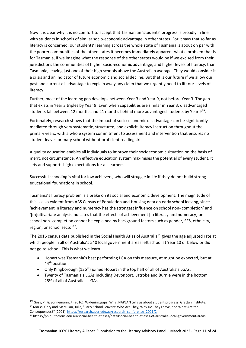Now it is clear why it is no comfort to accept that Tasmanian 'students' progress is broadly in line with students in schools of similar socio-economic advantage in other states. For it says that so far as literacy is concerned, our students' learning across the whole state of Tasmania is about on par with the poorer communities of the other states It becomes immediately apparent what a problem that is for Tasmania, if we imagine what the response of the other states would be if we excised from their jurisdictions the communities of higher socio-economic advantage, and higher levels of literacy, than Tasmania, leaving just one of their high schools above the Australian average. They would consider it a crisis and an indicator of future economic and social decline. But that is our future if we allow our past and current disadvantage to explain away any claim that we urgently need to lift our levels of literacy.

Further, most of the learning gap develops between Year 3 and Year 9, not before Year 3. The gap that exists in Year 3 triples by Year 9. Even when capabilities are similar in Year 3, disadvantaged students fall between 12 months and 21 months behind more advantaged students by Year 9<sup>19</sup>.

Fortunately, research shows that the impact of socio-economic disadvantage can be significantly mediated through very systematic, structured, and explicit literacy instruction throughout the primary years, with a whole system commitment to assessment and intervention that ensures no student leaves primary school without proficient reading skills.

A quality education enables all individuals to improve their socioeconomic situation on the basis of merit, not circumstance. An effective education system maximises the potential of every student. It sets and supports high expectations for all learners.

Successful schooling is vital for low achievers, who will struggle in life if they do not build strong educational foundations in school.

Tasmania's literacy problem is a brake on its social and economic development. The magnitude of this is also evident from ABS Census of Population and Housing data on early school leaving, since 'achievement in literacy and numeracy has the strongest influence on school non- completion' and '[m]ultivariate analysis indicates that the effects of achievement [in literacy and numeracy] on school non- completion cannot be explained by background factors such as gender, SES, ethnicity, region, or school sector<sup>20</sup>.

The 2016 census data published in the Social Health Atlas of Australia<sup>21</sup> gives the age adjusted rate at which people in all of Australia's 540 local government areas left school at Year 10 or below or did not go to school. This is what we learn.

- Hobart was Tasmania's best performing LGA on this measure, at might be expected, but at 44th position.
- Only Kingborough  $(136<sup>th</sup>)$  joined Hobart in the top half of all of Australia's LGAs.
- Twenty of Tasmania's LGAs including Devonport, Latrobe and Burnie were in the bottom 25% of all of Australia's LGAs.

<sup>&</sup>lt;sup>19</sup> Goss, P., & Sonnemann, J. (2016). Widening gaps: What NAPLAN tells us about student progress. Grattan Institute. <sup>20</sup> Marks, Gary and McMillan, Julie, "Early School Leavers: Who Are They, Why Do They Leave, and What Are the Consequences?" (2001)[. https://research.acer.edu.au/research\\_conference\\_2001/2](https://research.acer.edu.au/research_conference_2001/2)

<sup>21</sup> https://phidu.torrens.edu.au/social-health-atlases/data#social-health-atlases-of-australia-local-government-areas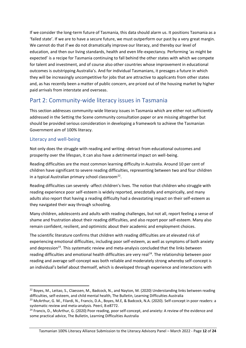If we consider the long-term future of Tasmania, this data should alarm us. It positions Tasmania as a 'failed state'. If we are to have a secure future, we must outperform our past by a very great margin. We cannot do that if we do not dramatically improve our literacy, and thereby our level of education, and then our living standards, health and even life-expectancy. Performing 'as might be expected' is a recipe for Tasmania continuing to fall behind the other states with which we compete for talent and investment, and of course also other countries whose improvement in educational outcomes is outstripping Australia's. And for individual Tasmanians, it presages a future in which they will be increasingly uncompetitive for jobs that are attractive to applicants from other states and, as has recently been a matter of public concern, are priced out of the housing market by higher paid arrivals from interstate and overseas.

## <span id="page-12-0"></span>Part 2: Community-wide literacy issues in Tasmania

This section addresses community-wide literacy issues in Tasmania which are either not sufficiently addressed in the Setting the Scene community consultation paper or are missing altogether but should be provided serious consideration in developing a framework to achieve the Tasmanian Government aim of 100% literacy.

### <span id="page-12-1"></span>Literacy and well-being

Not only does the struggle with reading and writing -detract from educational outcomes and prosperity over the lifespan, it can also have a detrimental impact on well-being.

Reading difficulties are the most common learning difficulty in Australia. Around 10 per cent of children have significant to severe reading difficulties, representing between two and four children in a typical Australian primary school classroom<sup>22</sup>.

Reading difficulties can severely -affect children's lives. The notion that children who struggle with reading experience poor self-esteem is widely reported, anecdotally and empirically, and many adults also report that having a reading difficulty had a devastating impact on their self-esteem as they navigated their way through schooling.

Many children, adolescents and adults with reading challenges, but not all, report feeling a sense of shame and frustration about their reading difficulties, and also report poor self-esteem. Many also remain confident, resilient, and optimistic about their academic and employment choices.

The scientific literature confirms that children with reading difficulties are at elevated risk of experiencing emotional difficulties, including poor self-esteem, as well as symptoms of both anxiety and depression<sup>23</sup>. This systematic review and meta-analysis concluded that the links between reading difficulties and emotional health difficulties are very real<sup>24</sup>. The relationship between poor reading and average self-concept was both reliable and moderately strong whereby self-concept is an individual's belief about themself, which is developed through experience and interactions with

<sup>&</sup>lt;sup>22</sup> Boyes, M., Leitao, S., Claessen, M., Badcock, N., and Nayton, M. (2020) Understanding links between reading difficulties, self-esteem, and child mental health, The Bulletin, Learning Difficulties Australia

<sup>&</sup>lt;sup>23</sup> McArthur, G. M., Filardi, N., Francis, D.A., Boyes, M.E, & Badcock, N.A. (2020). Self-concept in poor readers: a systematic review and meta-analysis. PeerJ, 8:e8772.

 $24$  Francis, D., McArthur, G. (2020) Poor reading, poor self-concept, and anxiety: A review of the evidence and some practical advice, The Bulletin, Learning Difficulties Australia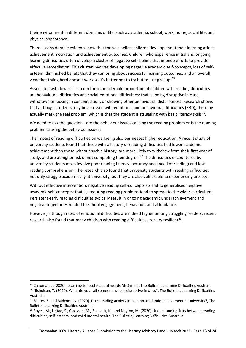their environment in different domains of life, such as academia, school, work, home, social life, and physical appearance.

There is considerable evidence now that the self-beliefs children develop about their learning affect achievement motivation and achievement outcomes. Children who experience initial and ongoing learning difficulties often develop a cluster of negative self-beliefs that impede efforts to provide effective remediation. This cluster involves developing negative academic self-concepts, loss of selfesteem, diminished beliefs that they can bring about successful learning outcomes, and an overall view that trying hard doesn't work so it's better not to try but to just give up.<sup>25</sup>

Associated with low self-esteem for a considerable proportion of children with reading difficulties are behavioural difficulties and social-emotional difficulties: that is, being disruptive in class, withdrawn or lacking in concentration, or showing other behavioural disturbances. Research shows that although students may be assessed with emotional and behavioural difficulties (EBD), this may actually mask the real problem, which is that the student is struggling with basic literacy skills<sup>26</sup>.

We need to ask the question - are the behaviour issues causing the reading problem or is the reading problem causing the behaviour issues?

The impact of reading difficulties on wellbeing also permeates higher education. A recent study of university students found that those with a history of reading difficulties had lower academic achievement than those without such a history, are more likely to withdraw from their first year of study, and are at higher risk of not completing their degree.<sup>27</sup> The difficulties encountered by university students often involve poor reading fluency (accuracy and speed of reading) and low reading comprehension. The research also found that university students with reading difficulties not only struggle academically at university, but they are also vulnerable to experiencing anxiety.

Without effective intervention, negative reading self-concepts spread to generalised negative academic self-concepts: that is, enduring reading problems tend to spread to the wider curriculum. Persistent early reading difficulties typically result in ongoing academic underachievement and negative trajectories related to school engagement, behaviour, and attendance.

However, although rates of emotional difficulties are indeed higher among struggling readers, recent research also found that many children with reading difficulties are very resilient<sup>28</sup>.

<sup>&</sup>lt;sup>25</sup> Chapman, J. (2020). Learning to read is about words AND mind, The Bulletin, Learning Difficulties Australia <sup>26</sup> Nicholson, T. (2020). What do you call someone who is disruptive in class?, The Bulletin, Learning Difficulties Australia

<sup>&</sup>lt;sup>27</sup> Soares, S. and Badcock, N. (2020). Does reading anxiety impact on academic achievement at university?, The Bulletin, Learning Difficulties Australia

<sup>&</sup>lt;sup>28</sup> Boyes, M., Leitao, S., Claessen, M., Badcock, N., and Nayton, M. (2020) Understanding links between reading difficulties, self-esteem, and child mental health, The Bulletin, Learning Difficulties Australia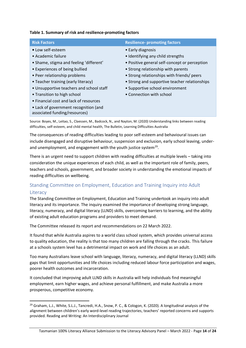#### **Table 1. Summary of risk and resilience-promoting factors**

| <b>Risk Factors</b>                                                    | <b>Resilience- promoting factors</b>          |
|------------------------------------------------------------------------|-----------------------------------------------|
| • Low self-esteem                                                      | • Early diagnosis                             |
| • Academic failure                                                     | • Identifying any child strengths             |
| • Shame, stigma and feeling 'different'                                | • Positive general self-concept or perception |
| • Experiences of being bullied                                         | • Strong relationship with parents            |
| • Peer relationship problems                                           | • Strong relationships with friends/ peers    |
| • Teacher training (early literacy)                                    | • Strong and supportive teacher relationships |
| • Unsupportive teachers and school staff                               | • Supportive school environment               |
| • Transition to high school                                            | • Connection with school                      |
| • Financial cost and lack of resources                                 |                                               |
| • Lack of government recognition (and<br>associated funding/resources) |                                               |

Source: Boyes, M., Leitao, S., Claessen, M., Badcock, N., and Nayton, M. (2020) Understanding links between reading difficulties, self-esteem, and child mental health, The Bulletin, Learning Difficulties Australia

The consequences of reading difficulties leading to poor self-esteem and behavioural issues can include disengaged and disruptive behaviour, suspension and exclusion, early school leaving, underand unemployment, and engagement with the youth justice system<sup>29</sup>.

There is an urgent need to support children with reading difficulties at multiple levels – taking into consideration the unique experiences of each child, as well as the important role of family, peers, teachers and schools, government, and broader society in understanding the emotional impacts of reading difficulties on wellbeing.

### <span id="page-14-0"></span>Standing Committee on Employment, Education and Training Inquiry into Adult **Literacy**

The Standing Committee on Employment, Education and Training undertook an inquiry into adult literacy and its importance. The inquiry examined the importance of developing strong language, literacy, numeracy, and digital literacy (LLND) skills, overcoming barriers to learning, and the ability of existing adult education programs and providers to meet demand.

The Committee released its report and recommendations on 22 March 2022.

It found that while Australia aspires to a world class school system, which provides universal access to quality education, the reality is that too many children are falling through the cracks. This failure at a schools system level has a detrimental impact on work and life choices as an adult.

Too many Australians leave school with language, literacy, numeracy, and digital literacy (LLND) skills gaps that limit opportunities and life choices including reduced labour force participation and wages, poorer health outcomes and incarceration.

It concluded that improving adult LLND skills in Australia will help individuals find meaningful employment, earn higher wages, and achieve personal fulfillment, and make Australia a more prosperous, competitive economy.

<sup>&</sup>lt;sup>29</sup> Graham, L.J., White, S.L.J., Tancredi, H.A., Snow, P. C., & Cologon, K. (2020). A longitudinal analysis of the alignment between children's early word-level reading trajectories, teachers' reported concerns and supports provided. Reading and Writing: An Interdisciplinary Journal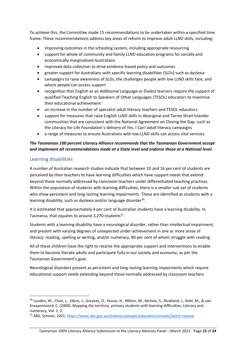To achieve this, the Committee made 15 recommendations to be undertaken within a specified time frame. These recommendations address key areas of reform to improve adult LLND skills, including:

- Improving outcomes in the schooling system, including appropriate resourcing
- support for whole of community and family LLND education programs for socially and economically marginalised Australians
- improved data collection to drive evidence-based policy and outcomes
- greater support for Australians with specific learning disabilities (SLDs) such as dyslexia
- campaigns to raise awareness of SLDs, the challenges people with low LLND skills face, and where people can access support
- recognition that English as an Additional Language or Dialect learners require the support of qualified Teaching English to Speakers of Other Languages (TESOL) educators to maximise their educational achievement
- an increase in the number of specialist adult literacy teachers and TESOL educators
- support for measures that raise English LLND skills in Aboriginal and Torres Strait Islander communities that are consistent with the National Agreement on Closing the Gap, such as the Literacy for Life Foundation's delivery of Yes, I Can! adult literacy campaigns
- a range of measures to ensure Australians with low LLND skills can access vital services.

#### *The Tasmanian 100 percent Literacy Alliance recommends that the Tasmanian Government accept and implement all recommendations made at a State level and endorse those at a National level.*

#### <span id="page-15-0"></span>Learning disabilities

A number of Australian research studies indicate that between 10 and 16 per cent of students are perceived by their teachers to have learning difficulties which have support needs that extend beyond those normally addressed by classroom teachers under differentiated teaching practices. Within the population of students with learning difficulties, there is a smaller sub-set of students who show persistent and long-lasting learning impairments. These are identified as students with a learning disability, such as dyslexia and/or language disorder<sup>30</sup>.

It is estimated that approximately 4 per cent of Australian students have a learning disability. In Tasmania, that equates to around 3,270 students<sup>31</sup>.

Students with a learning disability have a neurological disorder, rather than intellectual impairment, and present with varying degrees of unexpected under-achievement in one or more areas of literacy: reading, spelling or writing, and/or numeracy, 80 per cent of whom struggle with reading.

All of these children have the right to receive the appropriate support and interventions to enable them to become literate adults and participate fully in our society and economy, as per the Tasmanian Government's goal.

Neurological disorders present as persistent and long-lasting learning impairments which require educational support needs extending beyond those normally addressed by classroom teachers

<sup>30</sup> Louden, W., Chan, L., Elkins, J., Greaves, D., House, H., Milton, M., Nichols, S., Rivalland, J., Rohl, M., & van Kraayennoord, C. (2000). Mapping the territory, primary students with learning difficulties: Literacy and numeracy, Vol. 1, 2,

<sup>31</sup> ABS, Schools, 2021,<https://www.abs.gov.au/statistics/people/education/schools/latest-release>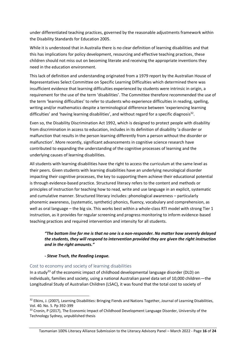under differentiated teaching practices, governed by the reasonable adjustments framework within the Disability Standards for Education 2005.

While it is understood that in Australia there is no clear definition of learning disabilities and that this has implications for policy development, resourcing and effective teaching practices, these children should not miss out on becoming literate and receiving the appropriate inventions they need in the education environment.

This lack of definition and understanding originated from a 1979 report by the Australian House of Representatives Select Committee on Specific Learning Difficulties which determined there was insufficient evidence that learning difficulties experienced by students were intrinsic in origin, a requirement for the use of the term 'disabilities'. The Committee therefore recommended the use of the term 'learning difficulties' to refer to students who experience difficulties in reading, spelling, writing and/or mathematics despite a terminological difference between 'experiencing learning difficulties' and 'having learning disabilities', and without regard for a specific diagnosis<sup>32</sup>.

Even so, the Disability Discrimination Act 1992, which is designed to protect people with disability from discrimination in access to education, includes in its definition of disability 'a disorder or malfunction that results in the person learning differently from a person without the disorder or malfunction'. More recently, significant advancements in cognitive science research have contributed to expanding the understanding of the cognitive processes of learning and the underlying causes of learning disabilities.

All students with learning disabilities have the right to access the curriculum at the same level as their peers. Given students with learning disabilities have an underlying neurological disorder impacting their cognitive processes, the key to supporting them achieve their educational potential is through evidence-based practice. Structured literacy refers to the content and methods or principles of instruction for teaching how to read, write and use language in an explicit, systematic and cumulative manner. Structured literacy includes: phonological awareness – particularly phonemic awareness, (systematic, synthetic) phonics, fluency, vocabulary and comprehension, as well as oral language – the big six. This works best within a whole-class RTI model with strong Tier 1 instruction, as it provides for regular screening and progress monitoring to inform evidence-based teaching practices and required intervention and intensity for all students.

#### *"The bottom line for me is that no one is a non-responder. No matter how severely delayed the students, they will respond to intervention provided they are given the right instruction and in the right amounts."*

#### *- Steve Truch, the Reading League.*

#### <span id="page-16-0"></span>Cost to economy and society of learning disabilities

In a study<sup>33</sup> of the economic impact of childhood developmental language disorder (DLD) on individuals, families and society, using a national Australian panel data set of 10,000 children—the Longitudinal Study of Australian Children (LSAC), it was found that the total cost to society of

<sup>&</sup>lt;sup>32</sup> Elkins, J. (2007), Learning Disabilities: Bringing Fiends and Nations Together, Journal of Learning Disabilities, Vol. 40. No. 5. Pp 392-399

<sup>&</sup>lt;sup>33</sup> Cronin, P (2017), The Economic Impact of Childhood Development Language Disorder, University of the Technology Sydney, unpublished thesis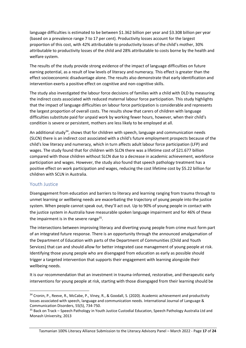language difficulties is estimated to be between \$1.362 billion per year and \$3.308 billion per year (based on a prevalence range 7 to 17 per cent). Productivity losses account for the largest proportion of this cost, with 42% attributable to productivity losses of the child's mother, 30% attributable to productivity losses of the child and 28% attributable to costs borne by the health and welfare system.

The results of the study provide strong evidence of the impact of language difficulties on future earning potential, as a result of low levels of literacy and numeracy. This effect is greater than the effect socioeconomic disadvantage alone. The results also demonstrate that early identification and intervention exerts a positive effect on cognitive and non-cognitive skills.

The study also investigated the labour force decisions of families with a child with DLD by measuring the indirect costs associated with reduced maternal labour force participation. This study highlights that the impact of language difficulties on labour force participation is considerable and represents the largest proportion of overall costs. The results show that carers of children with language difficulties substitute paid for unpaid work by working fewer hours, however, when their child's condition is severe or persistent, mothers are less likely to be employed at all.

An additional study<sup>34</sup>, shows that for children with speech, language and communication needs (SLCN) there is an indirect cost associated with a child's future employment prospects because of the child's low literacy and numeracy, which in turn affects adult labour force participation (LFP) and wages. The study found that for children with SLCN there was a lifetime cost of \$21.677 billion compared with those children without SLCN due to a decrease in academic achievement, workforce participation and wages. However, the study also found that speech pathology treatment has a positive effect on work participation and wages, reducing the cost lifetime cost by \$5.22 billion for children with SCLN in Australia.

#### <span id="page-17-0"></span>Youth Justice

Disengagement from education and barriers to literacy and learning ranging from trauma through to unmet learning or wellbeing needs are exacerbating the trajectory of young people into the justice system. When people cannot speak out, they'll act out. Up to 90% of young people in contact with the justice system in Australia have measurable spoken language impairment and for 46% of these the impairment is in the severe range<sup>35</sup>.

The intersections between improving literacy and diverting young people from crime must form part of an integrated future response. There is an opportunity through the announced amalgamation of the Department of Education with parts of the Department of Communities (Child and Youth Services) that can and should allow for better integrated case management of young people at risk. Identifying those young people who are disengaged from education as early as possible should trigger a targeted intervention that supports their engagement with learning alongside their wellbeing needs.

It is our recommendation that an investment in trauma-informed, restorative, and therapeutic early interventions for young people at risk, starting with those disengaged from their learning should be

<sup>34</sup> Cronin, P., Reeve, R., McCabe, P., Viney, R., & Goodall, S. (2020). Academic achievement and productivity losses associated with speech, language and communication needs. International Journal of Language & Communication Disorders, 55(5), 734-750.

<sup>&</sup>lt;sup>35</sup> Back on Track – Speech Pathology in Youth Justice Custodial Education, Speech Pathology Australia Ltd and Monash University, 2013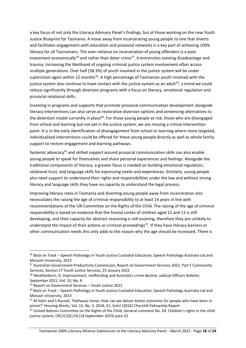a key focus of not only the Literacy Advisory Panel's findings, but of those working on the new Youth Justice Blueprint for Tasmania. A move away from incarcerating young people to one that diverts and facilitates engagement with education and prosocial networks is a key part of achieving 100% literacy for all Tasmanians. The over-reliance on incarceration of young offenders is a poor investment economically<sup>36</sup> and rather than deter crime<sup>37</sup>. it entrenches existing disadvantage and trauma, increasing the likelihood of ongoing criminal justice system involvement often across multiple generations. Over half (58.3%) of youth involved in the justice system will be under supervision again within 12 months<sup>38</sup>. A high percentage of Tasmanian youth involved with the justice system also continue to have contact with the justice system as an adult<sup>39</sup>, a trend we could reduce significantly through diversion programs with a focus on literacy, emotional regulation and prosocial relational skills.

Investing in programs and supports that promote prosocial communication development alongside literacy interventions can also serve as restorative diversion options and sentencing alternatives to the detention model currently in place<sup>40</sup>. For those young people at risk, those who are disengaged from school and learning but not yet in the justice system, we are missing a critical intervention point. It is in the early identification of disengagement from school or learning where more targeted, individualised interventions could be offered for these young people directly as well as whole family support to restore engagement and learning pathways.

Systemic advocacy<sup>41</sup> and skilled support around prosocial communication skills can also enable young people to speak for themselves and share personal experiences and feelings. Alongside the traditional components of literacy, a greater focus is needed on building emotional regulation, relational trust, and language skills for expressing needs and experiences. Similarly, young people also need support to understand their rights and responsibilities under the law and without strong literacy and language skills they have no capacity to understand the legal process.

Improving literacy rates in Tasmania and diverting young people away from incarceration also necessitates the raising the age of criminal responsibility to at least 14 years in line with recommendations of the UN Committee on the Rights of the Child. The raising of the age of criminal responsibility is based on evidence that the frontal cortex of children aged 12 and 13 is still developing, and their capacity for abstract reasoning is still evolving, therefore they are unlikely to understand the impact of their actions or criminal proceedings $42$ . If they have literacy barriers or other communication needs this only adds to the reason why the age should be increased. There is

<sup>&</sup>lt;sup>36</sup> Back on Track – Speech Pathology in Youth Justice Custodial Education, Speech Pathology Australia Ltd and Monash University, 2013

<sup>&</sup>lt;sup>37</sup> Australian Government Productivity Commission, Report on Government Services 2022, Part F Community Services, Section 17 Youth Justice Services, 25 January 2022

<sup>&</sup>lt;sup>38</sup> Weatherburn, D, Imprisonment, reoffending and Australia's crime decline, Judicial Officers Bulletin, September 2021, Vol. 33, No. 8

<sup>39</sup> Report on Government Services – Youth Justice 2021

<sup>40</sup> Back on Track – Speech Pathology in Youth Justice Custodial Education, Speech Pathology Australia Ltd and Monash University, 2013

<sup>&</sup>lt;sup>41</sup> M Sotiri and S Russell, 'Pathways home: How can we deliver better outcomes for people who have been in prison?' Housing Works, Vol. 15, No. 3, 2018, 41; Sotiri (2016) Churchill Fellowship Report

<sup>&</sup>lt;sup>42</sup> United Nations Committee on the Rights of the Child, General comment No. 24: Children's rights in the child justice system, CRC/C/GC/24 (18 September 2019) para 22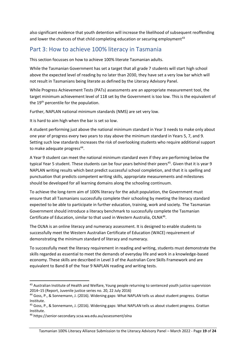also significant evidence that youth detention will increase the likelihood of subsequent reoffending and lower the chances of that child completing education or securing employment<sup>43</sup>

## <span id="page-19-0"></span>Part 3: How to achieve 100% literacy in Tasmania

This section focusses on how to achieve 100% literate Tasmanian adults.

While the Tasmanian Government has set a target that all grade 7 students will start high school above the expected level of reading by no later than 2030, they have set a very low bar which will not result in Tasmanians being literate as defined by the Literacy Advisory Panel.

While Progress Achievement Tests (PATs) assessments are an appropriate measurement tool, the target minimum achievement level of 118 set by the Government is too low. This is the equivalent of the 19<sup>th</sup> percentile for the population.

Further, NAPLAN national minimum standards (NMS) are set very low.

It is hard to aim high when the bar is set so low.

A student performing just above the national minimum standard in Year 3 needs to make only about one year of progress every two years to stay above the minimum standard in Years 5, 7, and 9. Setting such low standards increases the risk of overlooking students who require additional support to make adequate progress<sup>44</sup>.

A Year 9 student can meet the national minimum standard even if they are performing below the typical Year 5 student. These students can be four years behind their peers<sup>45</sup>. Given that it is year 9 NAPLAN writing results which best predict successful school completion, and that it is spelling and punctuation that predicts competent writing skills, appropriate measurements and milestones should be developed for all learning domains along the schooling continuum.

To achieve the long-term aim of 100% literacy for the adult population, the Government must ensure that all Tasmanians successfully complete their schooling by meeting the literacy standard expected to be able to participate in further education, training, work and society. The Tasmanian Government should introduce a literacy benchmark to successfully complete the Tasmanian Certificate of Education, similar to that used in Western Australia, OLNA<sup>46</sup>.

The OLNA is an online literacy and numeracy assessment. It is designed to enable students to successfully meet the Western Australian Certificate of Education (WACE) requirement of demonstrating the minimum standard of literacy and numeracy.

To successfully meet the literacy requirement in reading and writing, students must demonstrate the skills regarded as essential to meet the demands of everyday life and work in a knowledge-based economy. These skills are described in Level 3 of the Australian Core Skills Framework and are equivalent to Band 8 of the Year 9 NAPLAN reading and writing tests.

<sup>43</sup> Australian Institute of Health and Welfare, Young people returning to sentenced youth justice supervision 2014–15 (Report, Juvenile justice series no. 20, 22 July 2016)

<sup>44</sup> Goss, P., & Sonnemann, J. (2016). Widening gaps: What NAPLAN tells us about student progress. Grattan Institute.

<sup>45</sup> Goss, P., & Sonnemann, J. (2016). Widening gaps: What NAPLAN tells us about student progress. Grattan Institute.

<sup>46</sup> https://senior-secondary.scsa.wa.edu.au/assessment/olna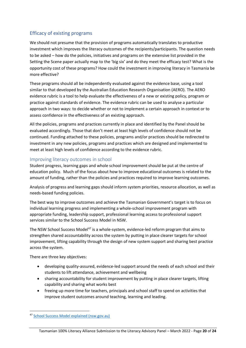### <span id="page-20-0"></span>Efficacy of existing programs

We should not presume that the provision of programs automatically translates to productive investment which improves the literacy outcomes of the recipients/participants. The question needs to be asked – how do the policies, initiatives and programs on the extensive list provided in the Setting the Scene paper actually map to the 'big six' and do they meet the efficacy test? What is the opportunity cost of these programs? How could the investment in improving literacy in Tasmania be more effective?

These programs should all be independently evaluated against the evidence base, using a tool similar to that developed by the Australian Education Research Organisation (AERO). The AERO evidence rubric is a tool to help evaluate the effectiveness of a new or existing policy, program or practice against standards of evidence. The evidence rubric can be used to analyse a particular approach in two ways: to decide whether or not to implement a certain approach in context or to assess confidence in the effectiveness of an existing approach.

All the policies, programs and practices currently in place and identified by the Panel should be evaluated accordingly. Those that don't meet at least high levels of confidence should not be continued. Funding attached to these policies, programs and/or practices should be redirected to investment in any new policies, programs and practices which are designed and implemented to meet at least high levels of confidence according to the evidence rubric.

#### <span id="page-20-1"></span>Improving literacy outcomes in school

Student progress, learning gaps and whole school improvement should be put at the centre of education policy. Much of the focus about how to improve educational outcomes is related to the amount of funding, rather than the policies and practices required to improve learning outcomes.

Analysis of progress and learning gaps should inform system priorities, resource allocation, as well as needs-based funding policies.

The best way to improve outcomes and achieve the Tasmanian Government's target is to focus on individual learning progress and implementing a whole-school improvement program with appropriate funding, leadership support, professional learning access to professional support services similar to the School Success Model in NSW.

The NSW School Success Model<sup>47</sup> is a whole-system, evidence-led reform program that aims to strengthen shared accountability across the system by putting in place clearer targets for school improvement, lifting capability through the design of new system support and sharing best practice across the system.

There are three key objectives:

- developing quality-assured, evidence-led support around the needs of each school and their students to lift attendance, achievement and wellbeing
- sharing accountability for student improvement by putting in place clearer targets, lifting capability and sharing what works best
- freeing up more time for teachers, principals and school staff to spend on activities that improve student outcomes around teaching, learning and leading.

<sup>47</sup> [School Success Model explained \(nsw.gov.au\)](https://education.nsw.gov.au/public-schools/school-success-model/school-success-model-explained)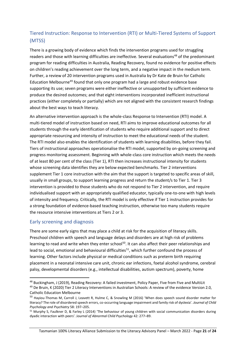## <span id="page-21-0"></span>Tiered Instruction: Response to Intervention (RTI) or Multi-Tiered Systems of Support (MTSS)

There is a growing body of evidence which finds the intervention programs used for struggling readers and those with learning difficulties are ineffective. Several evaluations<sup>48</sup> of the predominant program for reading difficulties in Australia, Reading Recovery, found no evidence for positive effects on children's reading achievement over the long term, and a negative impact in the medium term. Further, a review of 20 intervention programs used in Australia by Dr Kate de Bruin for Catholic Education Melbourne<sup>49</sup> found that only one program had a large and robust evidence base supporting its use; seven programs were either ineffective or unsupported by sufficient evidence to produce the desired outcomes; and that eight interventions incorporated inefficient instructional practices (either completely or partially) which are not aligned with the consistent research findings about the best ways to teach literacy.

An alternative intervention approach is the whole-class Response to Intervention (RTI) model. A multi-tiered model of instruction based on need, RTI aims to improve educational outcomes for all students through the early identification of students who require additional support and to direct appropriate resourcing and intensity of instruction to meet the educational needs of the student. The RTI model also enables the identification of students with learning disabilities, before they fail. Tiers of instructional approaches operationalise the RTI model, supported by on-going screening and progress monitoring assessment. Beginning with whole-class core instruction which meets the needs of at least 80 per cent of the class (Tier 1), RTI then increases instructional intensity for students whose screening data identifies they are below expected benchmarks. Tier 2 interventions supplement Tier 1 core instruction with the aim that the support is targeted to specific areas of skill, usually in small groups, to support learning progress and return the student/s to Tier 1. Tier 3 intervention is provided to those students who do not respond to Tier 2 intervention, and require individualised support with an appropriately qualified educator, typically one-to-one with high levels of intensity and frequency. Critically, the RTI model is only effective if Tier 1 instruction provides for a strong foundation of evidence-based teaching instruction, otherwise too many students require the resource intensive interventions at Tiers 2 or 3.

#### <span id="page-21-1"></span>Early screening and diagnosis

There are some early signs that may place a child at risk for the acquisition of literacy skills. Preschool children with speech and language delays and disorders are at high risk of problems learning to read and write when they enter school<sup>50</sup>. It can also affect their peer relationships and lead to social, emotional and behavioural difficulties<sup>51</sup>, which further confound the process of learning. Other factors include physical or medical conditions such as preterm birth requiring placement in a neonatal intensive care unit, chronic ear infections, foetal alcohol syndrome, cerebral palsy, developmental disorders (e.g., intellectual disabilities, autism spectrum), poverty, home

<sup>48</sup> Buckingham, J (2019), Reading Recovery: A failed investment, Policy Paper, Five from Five and MultiLit

<sup>&</sup>lt;sup>49</sup> De Bruin, K (2020) Tier 2 Literacy Interventions in Australian Schools: A review of the evidence Version 2.0, Catholic Education Melbourne

<sup>&</sup>lt;sup>50</sup> Hayiou-Thomas M, Carroll J, Leavett R, Hulme C, & Snowling M (2016) 'When does speech sound disorder matter for literacy? The role of disordered speech errors, co-occurring language impairment and family risk of dyslexia'. *Journal of Child Psychology and Psychiatry* 58: 197–205.

<sup>51</sup> Murphy S, Faulkner D, & Farley L (2014) 'The behaviour of young children with social communication disorders during dyadic interaction with peers'. J*ournal of Abnormal Child Psychology* 42: 277–89.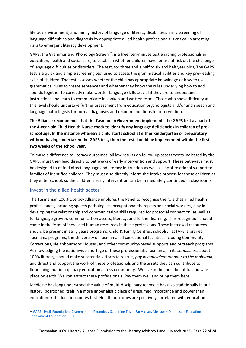literacy environment, and family history of language or literacy disabilities. Early screening of language difficulties and diagnosis by appropriate allied health professionals is critical in arresting risks to emergent literacy development.

GAPS, the Grammar and Phonology Screen<sup>52</sup>, is a free, ten-minute test enabling professionals in education, health and social care, to establish whether children have, or are at risk of, the challenge of language difficulties or disorders. The test, for three and a half to six and half year olds, The GAPS test is a quick and simple screening test used to assess the grammatical abilities and key pre-reading skills of children. The test assesses whether the child has appropriate knowledge of how to use grammatical rules to create sentences and whether they know the rules underlying how to add sounds together to correctly make words - language skills crucial if they are to understand instructions and learn to communicate in spoken and written form. Those who show difficulty at this level should undertake further assessment from education psychologists and/or and speech and language pathologists for formal diagnoses and recommendations for intervention.

**The Alliance recommends that the Tasmanian Government implements the GAPS test as part of the 4-year-old Child Health Nurse check to identify any language deficiencies in children of preschool age. In the instance whereby a child starts school at either kindergarten or preparatory without having undertaken the GAPS test, then the test should be implemented within the first two weeks of the school year.** 

To make a difference to literacy outcomes, all low results on follow-up assessments indicated by the GAPS, must then lead directly to pathways of early intervention and support. These pathways must be designed to enfold direct language and literacy instruction as well as social-relational support to families of identified children. They must also directly inform the intake process for these children as they enter school, so the children's early intervention can be immediately continued in classrooms.

#### <span id="page-22-0"></span>Invest in the allied health sector

The Tasmanian 100% Literacy Alliance implores the Panel to recognise the role that allied health professionals, including speech pathologists, occupational therapists and social workers, play in developing the relationship and communication skills required for prosocial connection, as well as for language growth, communication access, literacy, and further learning. This recognition should come in the form of increased human resources in these professions. These increased resources should be present in early years programs, Child & Family Centres, schools, TasTAFE, Libraries Tasmania programs, the University of Tasmania, all correctional facilities including Community Corrections, Neighbourhood Houses, and other community-based supports and outreach programs. Acknowledging the nationwide shortage of these professionals, Tasmania, in its *seriousness* about 100% literacy, should make substantial efforts to recruit, *pay in equivalent manner to the mainland*, and direct and support the work of these professionals and the assets they can contribute to flourishing multidisciplinary education across community. We live in the most beautiful and safe place on earth. We *can* attract these professionals. Pay them well and bring them here.

Medicine has long understood the value of multi-disciplinary teams. It has also traditionally in our history, positioned itself in a more imperialistic place of presumed importance and power than education. Yet education comes first. Health outcomes are positively correlated with education.

<sup>52</sup> GAPS - [HvdL Foundation,](http://hvdl.org.uk/gaps/) Grammar and Phonology Screening Test | Early Years Measures Database | Education [Endowment Foundation | EEF](https://educationendowmentfoundation.org.uk/projects-and-evaluation/evaluating-projects/early-years-measure-database/early-years-measures-database/grammar-and-phonology-screening-test/)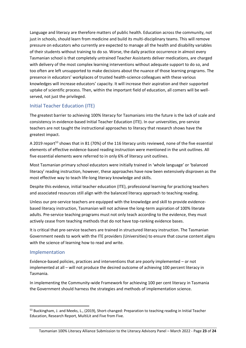Language and literacy are therefore matters of public health. Education across the community, not just in schools, should learn from medicine and build its multi-disciplinary teams. This will remove pressure on educators who currently are expected to manage all the health and disability variables of their students without training to do so. Worse, the daily practice occurrence in almost every Tasmanian school is that completely untrained Teacher Assistants deliver medications, are charged with delivery of the most complex learning interventions without adequate support to do so, and too often are left unsupported to make decisions about the nuance of those learning programs. The presence in educators' workplaces of trusted health-science colleagues with these various knowledges will increase educators' capacity. It will increase their aspiration and their supported uptake of scientific process. Then, within the important field of education, all comers will be wellserved, not just the privileged.

### <span id="page-23-0"></span>Initial Teacher Education (ITE)

The greatest barrier to achieving 100% literacy for Tasmanians into the future is the lack of scale and consistency in evidence-based Initial Teacher Education (ITE). In our universities, pre-service teachers are not taught the instructional approaches to literacy that research shows have the greatest impact.

A 2019 report<sup>53</sup> shows that in 81 (70%) of the 116 literacy units reviewed, none of the five essential elements of effective evidence-based reading instruction were mentioned in the unit outlines. All five essential elements were referred to in only 6% of literacy unit outlines.

Most Tasmanian primary school educators were initially trained in 'whole language' or 'balanced literacy' reading instruction, however, these approaches have now been extensively disproven as the most effective way to teach life-long literacy knowledge and skills.

Despite this evidence, initial teacher education (ITE), professional learning for practicing teachers and associated resources still align with the balanced literacy approach to teaching reading.

Unless our pre-service teachers are equipped with the knowledge and skill to provide evidencebased literacy instruction, Tasmanian will not achieve the long-term aspiration of 100% literate adults. Pre-service teaching programs must not only teach according to the evidence, they must actively cease from teaching methods that do not have top-ranking evidence bases.

It is critical that pre-service teachers are trained in structured literacy instruction. The Tasmanian Government needs to work with the ITE providers (Universities) to ensure that course content aligns with the science of learning how to read and write.

#### <span id="page-23-1"></span>Implementation

Evidence-based policies, practices and interventions that are poorly implemented – or not implemented at all – will not produce the desired outcome of achieving 100 percent literacy in Tasmania.

In implementing the Community-wide Framework for achieving 100 per cent literacy in Tasmania the Government should harness the strategies and methods of implementation science.

<sup>&</sup>lt;sup>53</sup> Buckingham, J. and Meeks, L., (2019), Short-changed: Preparation to teaching reading in Initial Teacher Education, Research Report, MultiLit and Five from Five.